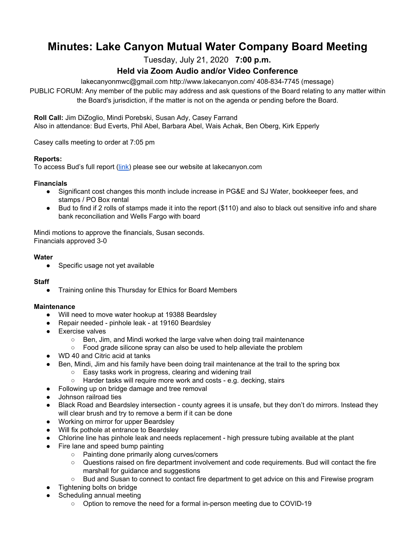# **Minutes: Lake Canyon Mutual Water Company Board Meeting**

Tuesday, July 21, 2020 **7:00 p.m.**

# **Held via Zoom Audio and/or Video Conference**

lakecanyonmwc@gmail.com http://www.lakecanyon.com/ 408-834-7745 (message)

PUBLIC FORUM: Any member of the public may address and ask questions of the Board relating to any matter within the Board's jurisdiction, if the matter is not on the agenda or pending before the Board.

**Roll Call:** Jim DiZoglio, Mindi Porebski, Susan Ady, Casey Farrand Also in attendance: Bud Everts, Phil Abel, Barbara Abel, Wais Achak, Ben Oberg, Kirk Epperly

Casey calls meeting to order at 7:05 pm

#### **Reports:**

To access Bud's full report [\(link](https://7e761103-1889-4c62-a205-c99a02daa857.usrfiles.com/ugd/7e7611_1cd238a9553a43f7884f74993cd18abb.pdf)) please see our website at lakecanyon.com

#### **Financials**

- Significant cost changes this month include increase in PG&E and SJ Water, bookkeeper fees, and stamps / PO Box rental
- Bud to find if 2 rolls of stamps made it into the report (\$110) and also to black out sensitive info and share bank reconciliation and Wells Fargo with board

Mindi motions to approve the financials, Susan seconds. Financials approved 3-0

#### **Water**

● Specific usage not yet available

#### **Staff**

● Training online this Thursday for Ethics for Board Members

#### **Maintenance**

- Will need to move water hookup at 19388 Beardsley
- Repair needed pinhole leak at 19160 Beardsley
- Exercise valves
	- Ben, Jim, and Mindi worked the large valve when doing trail maintenance
	- Food grade silicone spray can also be used to help alleviate the problem
- WD 40 and Citric acid at tanks
- Ben, Mindi, Jim and his family have been doing trail maintenance at the trail to the spring box
	- Easy tasks work in progress, clearing and widening trail
	- Harder tasks will require more work and costs e.g. decking, stairs
- Following up on bridge damage and tree removal
- Johnson railroad ties
- Black Road and Beardsley intersection county agrees it is unsafe, but they don't do mirrors. Instead they will clear brush and try to remove a berm if it can be done
- Working on mirror for upper Beardsley
- Will fix pothole at entrance to Beardsley
- Chlorine line has pinhole leak and needs replacement high pressure tubing available at the plant
- Fire lane and speed bump painting
	- Painting done primarily along curves/corners
	- Questions raised on fire department involvement and code requirements. Bud will contact the fire marshall for guidance and suggestions
	- Bud and Susan to connect to contact fire department to get advice on this and Firewise program
- Tightening bolts on bridge
- Scheduling annual meeting
	- Option to remove the need for a formal in-person meeting due to COVID-19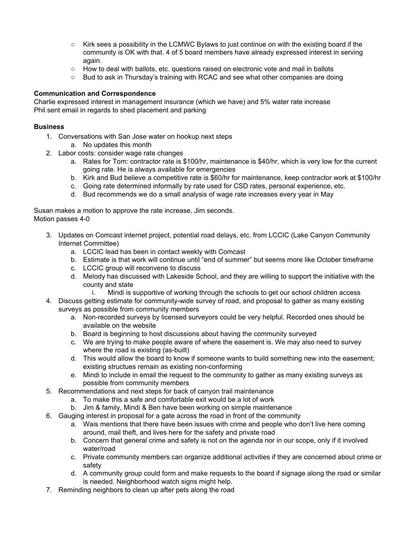- Kirk sees a possibility in the LCMWC Bylaws to just continue on with the existing board if the community is OK with that. 4 of 5 board members have already expressed interest in serving again.
- How to deal with ballots, etc. questions raised on electronic vote and mail in ballots
- Bud to ask in Thursday's training with RCAC and see what other companies are doing

# **Communication and Correspondence**

Charlie expressed interest in management insurance (which we have) and 5% water rate increase Phil sent email in regards to shed placement and parking

## **Business**

- 1. Conversations with San Jose water on hookup next steps a. No updates this month
- 2. Labor costs: consider wage rate changes
	- a. Rates for Tom: contractor rate is \$100/hr, maintenance is \$40/hr, which is very low for the current going rate. He is always available for emergencies
	- b. Kirk and Bud believe a competitive rate is \$60/hr for maintenance, keep contractor work at \$100/hr
	- c. Going rate determined informally by rate used for CSD rates, personal experience, etc.
	- d. Bud recommends we do a small analysis of wage rate increases every year in May

Susan makes a motion to approve the rate increase, Jim seconds. Motion passes 4-0

- 3. Updates on Comcast internet project, potential road delays, etc. from LCCIC (Lake Canyon Community Internet Committee)
	- a. LCCIC lead has been in contact weekly with Comcast
	- b. Estimate is that work will continue until "end of summer" but seems more like October timeframe
	- c. LCCIC group will reconvene to discuss
	- d. Melody has discussed with Lakeside School, and they are willing to support the initiative with the county and state
		- i. Mindi is supportive of working through the schools to get our school children access
- 4. Discuss getting estimate for community-wide survey of road, and proposal to gather as many existing surveys as possible from community members
	- a. Non-recorded surveys by licensed surveyors could be very helpful. Recorded ones should be available on the website
	- b. Board is beginning to host discussions about having the community surveyed
	- c. We are trying to make people aware of where the easement is. We may also need to survey where the road is existing (as-built)
	- d. This would allow the board to know if someone wants to build something new into the easement; existing structues remain as existing non-conforming
	- e. Mindi to include in email the request to the community to gather as many existing surveys as possible from community members
- 5. Recommendations and next steps for back of canyon trail maintenance
	- a. To make this a safe and comfortable exit would be a lot of work
	- b. Jim & family, Mindi & Ben have been working on simple maintenance
- 6. Gauging interest in proposal for a gate across the road in front of the community
	- a. Wais mentions that there have been issues with crime and people who don't live here coming around, mail theft, and lives here for the safety and private road
	- b. Concern that general crime and safety is not on the agenda nor in our scope, only if it involved water/road
	- c. Private community members can organize additional activities if they are concerned about crime or safety
	- d. A community group could form and make requests to the board if signage along the road or similar is needed. Neighborhood watch signs might help.
- 7. Reminding neighbors to clean up after pets along the road